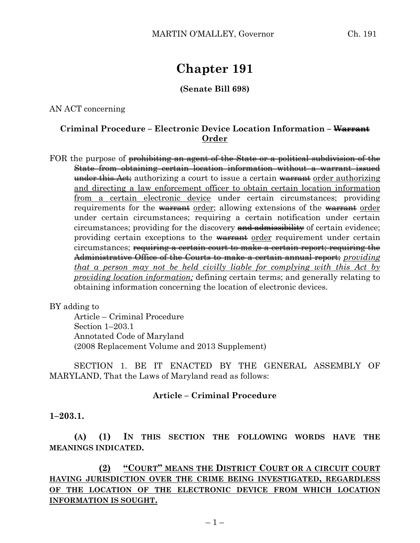# **Chapter 191**

# **(Senate Bill 698)**

AN ACT concerning

# **Criminal Procedure – Electronic Device Location Information – Warrant Order**

FOR the purpose of prohibiting an agent of the State or a political subdivision of the State from obtaining certain location information without a warrant issued under this Act; authorizing a court to issue a certain warrant order authorizing and directing a law enforcement officer to obtain certain location information from a certain electronic device under certain circumstances; providing requirements for the warrant order; allowing extensions of the warrant order under certain circumstances; requiring a certain notification under certain circumstances; providing for the discovery and admissibility of certain evidence; providing certain exceptions to the warrant order requirement under certain circumstances; requiring a certain court to make a certain report; requiring the Administrative Office of the Courts to make a certain annual report; *providing that a person may not be held civilly liable for complying with this Act by providing location information;* defining certain terms; and generally relating to obtaining information concerning the location of electronic devices.

#### BY adding to

Article – Criminal Procedure Section 1–203.1 Annotated Code of Maryland (2008 Replacement Volume and 2013 Supplement)

SECTION 1. BE IT ENACTED BY THE GENERAL ASSEMBLY OF MARYLAND, That the Laws of Maryland read as follows:

## **Article – Criminal Procedure**

#### **1–203.1.**

**(A) (1) IN THIS SECTION THE FOLLOWING WORDS HAVE THE MEANINGS INDICATED.**

**(2) "COURT" MEANS THE DISTRICT COURT OR A CIRCUIT COURT HAVING JURISDICTION OVER THE CRIME BEING INVESTIGATED, REGARDLESS OF THE LOCATION OF THE ELECTRONIC DEVICE FROM WHICH LOCATION INFORMATION IS SOUGHT.**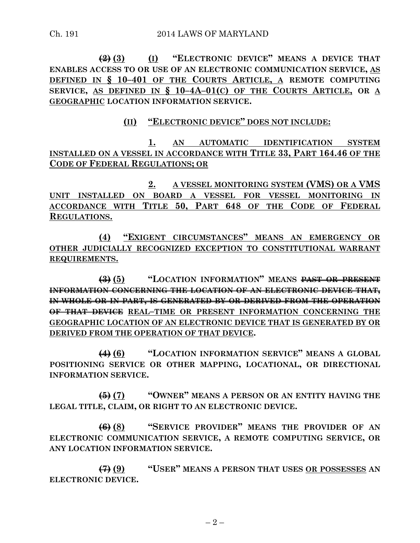**(2) (3) (I) "ELECTRONIC DEVICE" MEANS A DEVICE THAT ENABLES ACCESS TO OR USE OF AN ELECTRONIC COMMUNICATION SERVICE, AS DEFINED IN § 10–401 OF THE COURTS ARTICLE, A REMOTE COMPUTING SERVICE, AS DEFINED IN § 10–4A–01(C) OF THE COURTS ARTICLE, OR A GEOGRAPHIC LOCATION INFORMATION SERVICE.**

**(II) "ELECTRONIC DEVICE" DOES NOT INCLUDE:**

**1. AN AUTOMATIC IDENTIFICATION SYSTEM INSTALLED ON A VESSEL IN ACCORDANCE WITH TITLE 33, PART 164.46 OF THE CODE OF FEDERAL REGULATIONS; OR**

**2. A VESSEL MONITORING SYSTEM (VMS) OR A VMS UNIT INSTALLED ON BOARD A VESSEL FOR VESSEL MONITORING IN ACCORDANCE WITH TITLE 50, PART 648 OF THE CODE OF FEDERAL REGULATIONS.**

**(4) "EXIGENT CIRCUMSTANCES" MEANS AN EMERGENCY OR OTHER JUDICIALLY RECOGNIZED EXCEPTION TO CONSTITUTIONAL WARRANT REQUIREMENTS.**

**(3) (5) "LOCATION INFORMATION" MEANS PAST OR PRESENT INFORMATION CONCERNING THE LOCATION OF AN ELECTRONIC DEVICE THAT, IN WHOLE OR IN PART, IS GENERATED BY OR DERIVED FROM THE OPERATION OF THAT DEVICE REAL–TIME OR PRESENT INFORMATION CONCERNING THE GEOGRAPHIC LOCATION OF AN ELECTRONIC DEVICE THAT IS GENERATED BY OR DERIVED FROM THE OPERATION OF THAT DEVICE.**

**(4) (6) "LOCATION INFORMATION SERVICE" MEANS A GLOBAL POSITIONING SERVICE OR OTHER MAPPING, LOCATIONAL, OR DIRECTIONAL INFORMATION SERVICE.**

**(5) (7) "OWNER" MEANS A PERSON OR AN ENTITY HAVING THE LEGAL TITLE, CLAIM, OR RIGHT TO AN ELECTRONIC DEVICE.**

**(6) (8) "SERVICE PROVIDER" MEANS THE PROVIDER OF AN ELECTRONIC COMMUNICATION SERVICE, A REMOTE COMPUTING SERVICE, OR ANY LOCATION INFORMATION SERVICE.**

**(7) (9) "USER" MEANS A PERSON THAT USES OR POSSESSES AN ELECTRONIC DEVICE.**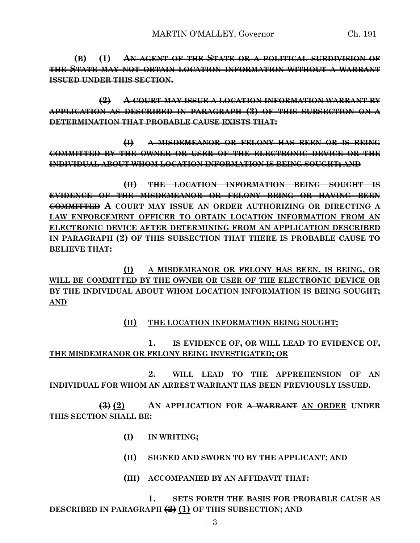**(B) (1) AN AGENT OF THE STATE OR A POLITICAL SUBDIVISION OF THE STATE MAY NOT OBTAIN LOCATION INFORMATION WITHOUT A WARRANT ISSUED UNDER THIS SECTION.**

**(2) A COURT MAY ISSUE A LOCATION INFORMATION WARRANT BY APPLICATION AS DESCRIBED IN PARAGRAPH (3) OF THIS SUBSECTION ON A DETERMINATION THAT PROBABLE CAUSE EXISTS THAT:**

**(I) A MISDEMEANOR OR FELONY HAS BEEN OR IS BEING COMMITTED BY THE OWNER OR USER OF THE ELECTRONIC DEVICE OR THE INDIVIDUAL ABOUT WHOM LOCATION INFORMATION IS BEING SOUGHT; AND**

**(II) THE LOCATION INFORMATION BEING SOUGHT IS EVIDENCE OF THE MISDEMEANOR OR FELONY BEING OR HAVING BEEN COMMITTED A COURT MAY ISSUE AN ORDER AUTHORIZING OR DIRECTING A LAW ENFORCEMENT OFFICER TO OBTAIN LOCATION INFORMATION FROM AN ELECTRONIC DEVICE AFTER DETERMINING FROM AN APPLICATION DESCRIBED IN PARAGRAPH (2) OF THIS SUBSECTION THAT THERE IS PROBABLE CAUSE TO BELIEVE THAT:**

**(I) A MISDEMEANOR OR FELONY HAS BEEN, IS BEING, OR WILL BE COMMITTED BY THE OWNER OR USER OF THE ELECTRONIC DEVICE OR BY THE INDIVIDUAL ABOUT WHOM LOCATION INFORMATION IS BEING SOUGHT; AND**

## **(II) THE LOCATION INFORMATION BEING SOUGHT:**

**1. IS EVIDENCE OF, OR WILL LEAD TO EVIDENCE OF, THE MISDEMEANOR OR FELONY BEING INVESTIGATED; OR**

**2. WILL LEAD TO THE APPREHENSION OF AN INDIVIDUAL FOR WHOM AN ARREST WARRANT HAS BEEN PREVIOUSLY ISSUED.**

**(3) (2) AN APPLICATION FOR A WARRANT AN ORDER UNDER THIS SECTION SHALL BE:**

- **(I) IN WRITING;**
- **(II) SIGNED AND SWORN TO BY THE APPLICANT; AND**
- **(III) ACCOMPANIED BY AN AFFIDAVIT THAT:**

**1. SETS FORTH THE BASIS FOR PROBABLE CAUSE AS DESCRIBED IN PARAGRAPH (2) (1) OF THIS SUBSECTION; AND**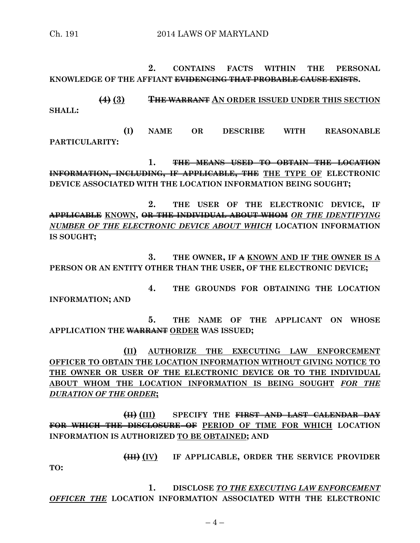**2. CONTAINS FACTS WITHIN THE PERSONAL KNOWLEDGE OF THE AFFIANT EVIDENCING THAT PROBABLE CAUSE EXISTS.**

**(4) (3) THE WARRANT AN ORDER ISSUED UNDER THIS SECTION SHALL:**

**(I) NAME OR DESCRIBE WITH REASONABLE PARTICULARITY:**

**1. THE MEANS USED TO OBTAIN THE LOCATION INFORMATION, INCLUDING, IF APPLICABLE, THE THE TYPE OF ELECTRONIC DEVICE ASSOCIATED WITH THE LOCATION INFORMATION BEING SOUGHT;**

**2. THE USER OF THE ELECTRONIC DEVICE, IF APPLICABLE KNOWN, OR THE INDIVIDUAL ABOUT WHOM** *OR THE IDENTIFYING NUMBER OF THE ELECTRONIC DEVICE ABOUT WHICH* **LOCATION INFORMATION IS SOUGHT;**

**3. THE OWNER, IF A KNOWN AND IF THE OWNER IS A PERSON OR AN ENTITY OTHER THAN THE USER, OF THE ELECTRONIC DEVICE;**

**4. THE GROUNDS FOR OBTAINING THE LOCATION INFORMATION; AND**

**5. THE NAME OF THE APPLICANT ON WHOSE APPLICATION THE WARRANT ORDER WAS ISSUED;**

**(II) AUTHORIZE THE EXECUTING LAW ENFORCEMENT OFFICER TO OBTAIN THE LOCATION INFORMATION WITHOUT GIVING NOTICE TO THE OWNER OR USER OF THE ELECTRONIC DEVICE OR TO THE INDIVIDUAL ABOUT WHOM THE LOCATION INFORMATION IS BEING SOUGHT** *FOR THE DURATION OF THE ORDER***;**

**(II) (III) SPECIFY THE FIRST AND LAST CALENDAR DAY FOR WHICH THE DISCLOSURE OF PERIOD OF TIME FOR WHICH LOCATION INFORMATION IS AUTHORIZED TO BE OBTAINED; AND**

**(III) (IV) IF APPLICABLE, ORDER THE SERVICE PROVIDER** 

**TO:**

1. **DISCLOSE TO THE EXECUTING LAW ENFORCEMENT** *OFFICER THE* **LOCATION INFORMATION ASSOCIATED WITH THE ELECTRONIC**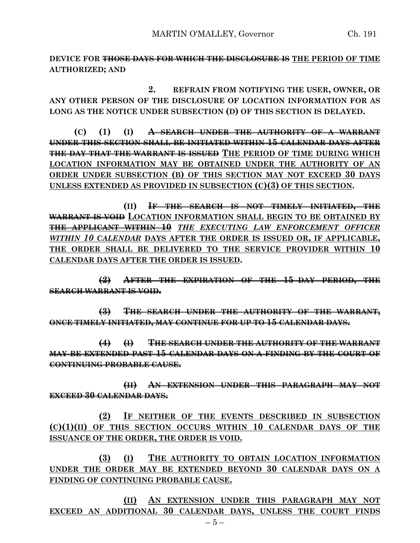**DEVICE FOR THOSE DAYS FOR WHICH THE DISCLOSURE IS THE PERIOD OF TIME AUTHORIZED; AND**

**2. REFRAIN FROM NOTIFYING THE USER, OWNER, OR ANY OTHER PERSON OF THE DISCLOSURE OF LOCATION INFORMATION FOR AS LONG AS THE NOTICE UNDER SUBSECTION (D) OF THIS SECTION IS DELAYED.**

**(C) (1) (I) A SEARCH UNDER THE AUTHORITY OF A WARRANT UNDER THIS SECTION SHALL BE INITIATED WITHIN 15 CALENDAR DAYS AFTER THE DAY THAT THE WARRANT IS ISSUED THE PERIOD OF TIME DURING WHICH LOCATION INFORMATION MAY BE OBTAINED UNDER THE AUTHORITY OF AN ORDER UNDER SUBSECTION (B) OF THIS SECTION MAY NOT EXCEED 30 DAYS UNLESS EXTENDED AS PROVIDED IN SUBSECTION (C)(3) OF THIS SECTION.**

**(II) IF THE SEARCH IS NOT TIMELY INITIATED, THE WARRANT IS VOID LOCATION INFORMATION SHALL BEGIN TO BE OBTAINED BY THE APPLICANT WITHIN 10** *THE EXECUTING LAW ENFORCEMENT OFFICER WITHIN 10 CALENDAR* **DAYS AFTER THE ORDER IS ISSUED OR, IF APPLICABLE, THE ORDER SHALL BE DELIVERED TO THE SERVICE PROVIDER WITHIN 10 CALENDAR DAYS AFTER THE ORDER IS ISSUED.**

**(2) AFTER THE EXPIRATION OF THE 15–DAY PERIOD, THE SEARCH WARRANT IS VOID.**

**(3) THE SEARCH UNDER THE AUTHORITY OF THE WARRANT, ONCE TIMELY INITIATED, MAY CONTINUE FOR UP TO 15 CALENDAR DAYS.**

**(4) (I) THE SEARCH UNDER THE AUTHORITY OF THE WARRANT MAY BE EXTENDED PAST 15 CALENDAR DAYS ON A FINDING BY THE COURT OF CONTINUING PROBABLE CAUSE.**

**(II) AN EXTENSION UNDER THIS PARAGRAPH MAY NOT EXCEED 30 CALENDAR DAYS.**

**(2) IF NEITHER OF THE EVENTS DESCRIBED IN SUBSECTION (C)(1)(II) OF THIS SECTION OCCURS WITHIN 10 CALENDAR DAYS OF THE ISSUANCE OF THE ORDER, THE ORDER IS VOID.**

**(3) (I) THE AUTHORITY TO OBTAIN LOCATION INFORMATION UNDER THE ORDER MAY BE EXTENDED BEYOND 30 CALENDAR DAYS ON A FINDING OF CONTINUING PROBABLE CAUSE.**

**(II) AN EXTENSION UNDER THIS PARAGRAPH MAY NOT EXCEED AN ADDITIONAL 30 CALENDAR DAYS, UNLESS THE COURT FINDS**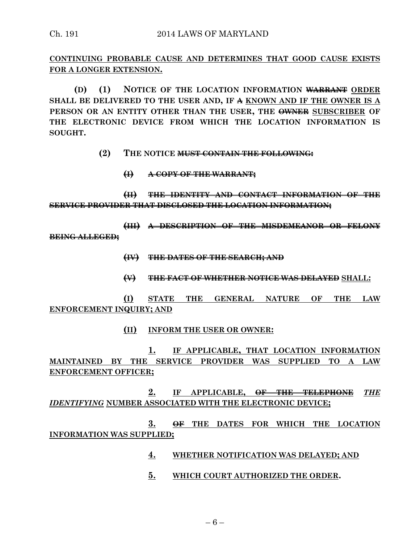**CONTINUING PROBABLE CAUSE AND DETERMINES THAT GOOD CAUSE EXISTS FOR A LONGER EXTENSION.**

**(D) (1) NOTICE OF THE LOCATION INFORMATION WARRANT ORDER SHALL BE DELIVERED TO THE USER AND, IF A KNOWN AND IF THE OWNER IS A PERSON OR AN ENTITY OTHER THAN THE USER, THE OWNER SUBSCRIBER OF THE ELECTRONIC DEVICE FROM WHICH THE LOCATION INFORMATION IS SOUGHT.**

- **(2) THE NOTICE MUST CONTAIN THE FOLLOWING:**
	- **(I) A COPY OF THE WARRANT;**

**(II) THE IDENTITY AND CONTACT INFORMATION OF THE SERVICE PROVIDER THAT DISCLOSED THE LOCATION INFORMATION;**

**(III) A DESCRIPTION OF THE MISDEMEANOR OR FELONY BEING ALLEGED;**

- **(IV) THE DATES OF THE SEARCH; AND**
- **(V) THE FACT OF WHETHER NOTICE WAS DELAYED SHALL:**

**(I) STATE THE GENERAL NATURE OF THE LAW ENFORCEMENT INQUIRY; AND**

**(II) INFORM THE USER OR OWNER:**

**1. IF APPLICABLE, THAT LOCATION INFORMATION MAINTAINED BY THE SERVICE PROVIDER WAS SUPPLIED TO A LAW ENFORCEMENT OFFICER;**

**2. IF APPLICABLE, OF THE TELEPHONE** *THE IDENTIFYING* **NUMBER ASSOCIATED WITH THE ELECTRONIC DEVICE;**

**3. OF THE DATES FOR WHICH THE LOCATION INFORMATION WAS SUPPLIED;**

- **4. WHETHER NOTIFICATION WAS DELAYED; AND**
- **5. WHICH COURT AUTHORIZED THE ORDER.**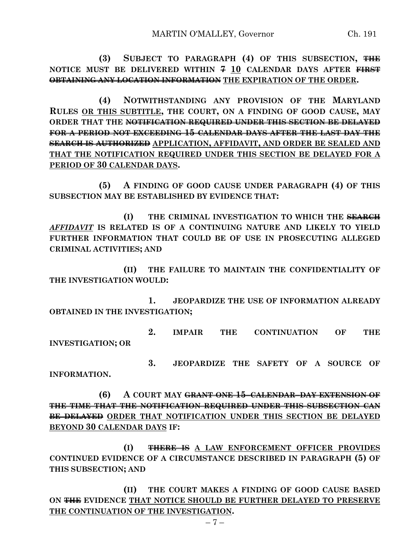**(3) SUBJECT TO PARAGRAPH (4) OF THIS SUBSECTION, THE NOTICE MUST BE DELIVERED WITHIN 7 10 CALENDAR DAYS AFTER FIRST OBTAINING ANY LOCATION INFORMATION THE EXPIRATION OF THE ORDER.**

**(4) NOTWITHSTANDING ANY PROVISION OF THE MARYLAND RULES OR THIS SUBTITLE, THE COURT, ON A FINDING OF GOOD CAUSE, MAY ORDER THAT THE NOTIFICATION REQUIRED UNDER THIS SECTION BE DELAYED FOR A PERIOD NOT EXCEEDING 15 CALENDAR DAYS AFTER THE LAST DAY THE SEARCH IS AUTHORIZED APPLICATION, AFFIDAVIT, AND ORDER BE SEALED AND THAT THE NOTIFICATION REQUIRED UNDER THIS SECTION BE DELAYED FOR A PERIOD OF 30 CALENDAR DAYS.**

**(5) A FINDING OF GOOD CAUSE UNDER PARAGRAPH (4) OF THIS SUBSECTION MAY BE ESTABLISHED BY EVIDENCE THAT:**

**(I) THE CRIMINAL INVESTIGATION TO WHICH THE SEARCH** *AFFIDAVIT* **IS RELATED IS OF A CONTINUING NATURE AND LIKELY TO YIELD FURTHER INFORMATION THAT COULD BE OF USE IN PROSECUTING ALLEGED CRIMINAL ACTIVITIES; AND**

**(II) THE FAILURE TO MAINTAIN THE CONFIDENTIALITY OF THE INVESTIGATION WOULD:**

**1. JEOPARDIZE THE USE OF INFORMATION ALREADY OBTAINED IN THE INVESTIGATION;**

**2. IMPAIR THE CONTINUATION OF THE INVESTIGATION; OR**

**3. JEOPARDIZE THE SAFETY OF A SOURCE OF INFORMATION.**

**(6) A COURT MAY GRANT ONE 15–CALENDAR–DAY EXTENSION OF THE TIME THAT THE NOTIFICATION REQUIRED UNDER THIS SUBSECTION CAN BE DELAYED ORDER THAT NOTIFICATION UNDER THIS SECTION BE DELAYED BEYOND 30 CALENDAR DAYS IF:**

**(I) THERE IS A LAW ENFORCEMENT OFFICER PROVIDES CONTINUED EVIDENCE OF A CIRCUMSTANCE DESCRIBED IN PARAGRAPH (5) OF THIS SUBSECTION; AND**

**(II) THE COURT MAKES A FINDING OF GOOD CAUSE BASED ON THE EVIDENCE THAT NOTICE SHOULD BE FURTHER DELAYED TO PRESERVE THE CONTINUATION OF THE INVESTIGATION.**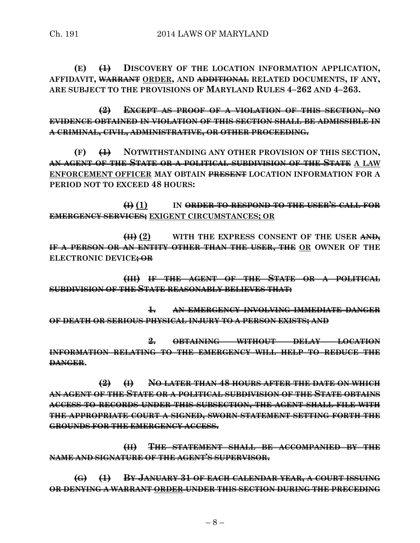**(E) (1) DISCOVERY OF THE LOCATION INFORMATION APPLICATION, AFFIDAVIT, WARRANT ORDER, AND ADDITIONAL RELATED DOCUMENTS, IF ANY, ARE SUBJECT TO THE PROVISIONS OF MARYLAND RULES 4–262 AND 4–263.**

**(2) EXCEPT AS PROOF OF A VIOLATION OF THIS SECTION, NO EVIDENCE OBTAINED IN VIOLATION OF THIS SECTION SHALL BE ADMISSIBLE IN A CRIMINAL, CIVIL, ADMINISTRATIVE, OR OTHER PROCEEDING.**

**(F) (1) NOTWITHSTANDING ANY OTHER PROVISION OF THIS SECTION, AN AGENT OF THE STATE OR A POLITICAL SUBDIVISION OF THE STATE A LAW ENFORCEMENT OFFICER MAY OBTAIN PRESENT LOCATION INFORMATION FOR A PERIOD NOT TO EXCEED 48 HOURS:**

**(I) (1) IN ORDER TO RESPOND TO THE USER'S CALL FOR EMERGENCY SERVICES; EXIGENT CIRCUMSTANCES; OR**

**(II) (2) WITH THE EXPRESS CONSENT OF THE USER AND, IF A PERSON OR AN ENTITY OTHER THAN THE USER, THE OR OWNER OF THE ELECTRONIC DEVICE; OR**

**(III) IF THE AGENT OF THE STATE OR A POLITICAL SUBDIVISION OF THE STATE REASONABLY BELIEVES THAT:**

**1. AN EMERGENCY INVOLVING IMMEDIATE DANGER OF DEATH OR SERIOUS PHYSICAL INJURY TO A PERSON EXISTS; AND**

**2. OBTAINING WITHOUT DELAY LOCATION INFORMATION RELATING TO THE EMERGENCY WILL HELP TO REDUCE THE DANGER.**

**(2) (I) NO LATER THAN 48 HOURS AFTER THE DATE ON WHICH AN AGENT OF THE STATE OR A POLITICAL SUBDIVISION OF THE STATE OBTAINS ACCESS TO RECORDS UNDER THIS SUBSECTION, THE AGENT SHALL FILE WITH THE APPROPRIATE COURT A SIGNED, SWORN STATEMENT SETTING FORTH THE GROUNDS FOR THE EMERGENCY ACCESS.**

**(II) THE STATEMENT SHALL BE ACCOMPANIED BY THE NAME AND SIGNATURE OF THE AGENT'S SUPERVISOR.**

**(G) (1) BY JANUARY 31 OF EACH CALENDAR YEAR, A COURT ISSUING OR DENYING A WARRANT ORDER UNDER THIS SECTION DURING THE PRECEDING**